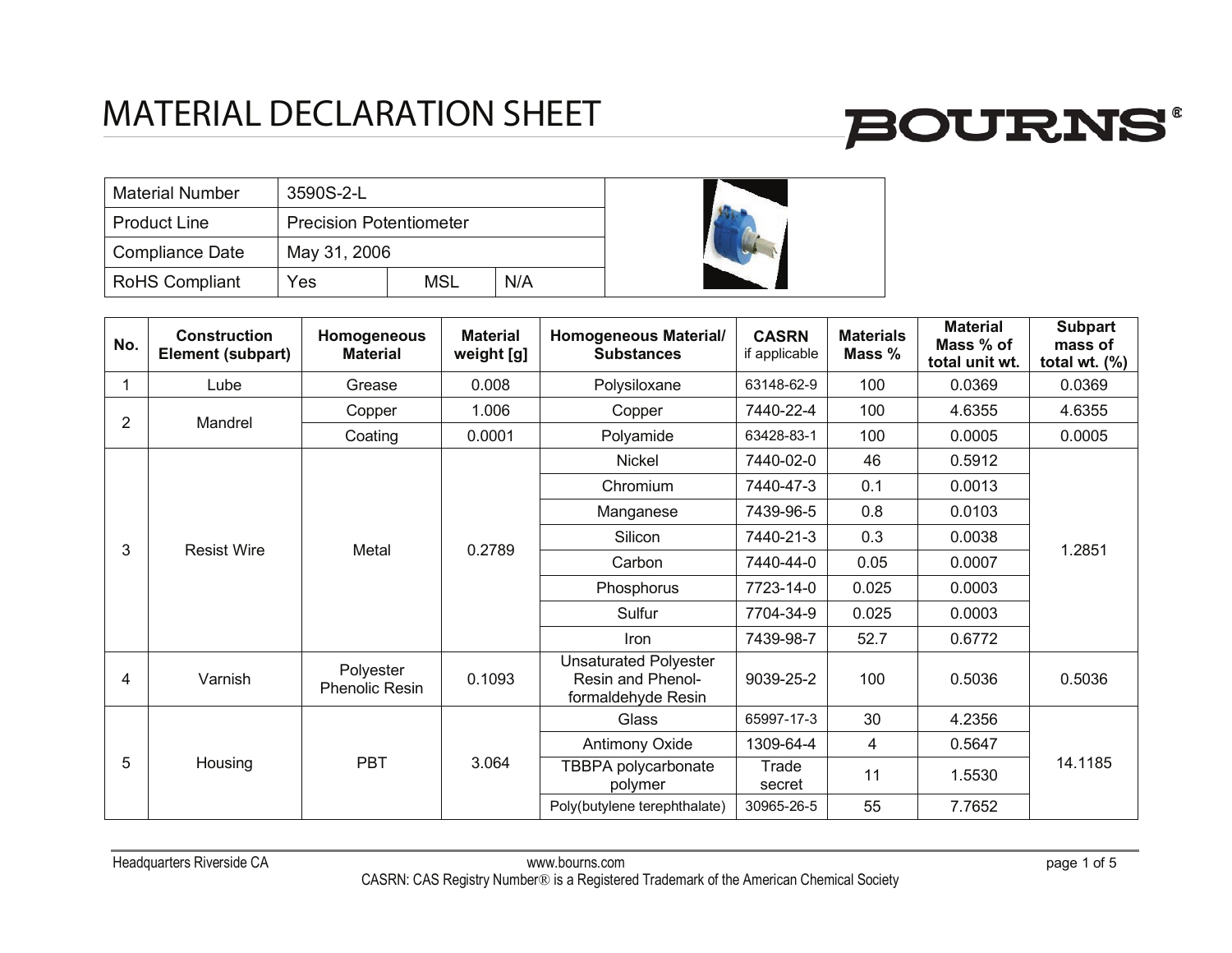

| <b>Material Number</b> | 3590S-2-L                      |     |     |  |  |
|------------------------|--------------------------------|-----|-----|--|--|
| <b>Product Line</b>    | <b>Precision Potentiometer</b> |     |     |  |  |
| Compliance Date        | May 31, 2006                   |     |     |  |  |
| <b>RoHS Compliant</b>  | Yes                            | MSL | N/A |  |  |



| No.            | <b>Construction</b><br>Element (subpart) | <b>Homogeneous</b><br><b>Material</b> | <b>Material</b><br>weight [g]         | <b>Homogeneous Material/</b><br><b>Substances</b>                       | <b>CASRN</b><br>if applicable | <b>Materials</b><br>Mass % | <b>Material</b><br>Mass % of<br>total unit wt. | <b>Subpart</b><br>mass of<br>total wt. $(\%)$ |     |        |        |
|----------------|------------------------------------------|---------------------------------------|---------------------------------------|-------------------------------------------------------------------------|-------------------------------|----------------------------|------------------------------------------------|-----------------------------------------------|-----|--------|--------|
| 1              | Lube                                     | Grease                                | 0.008                                 | Polysiloxane                                                            | 63148-62-9                    | 100                        | 0.0369                                         | 0.0369                                        |     |        |        |
| $\overline{2}$ | Mandrel                                  | Copper                                | 1.006                                 | Copper                                                                  | 7440-22-4                     | 100                        | 4.6355                                         | 4.6355                                        |     |        |        |
|                |                                          | Coating                               | 0.0001                                | Polyamide                                                               | 63428-83-1                    | 100                        | 0.0005                                         | 0.0005                                        |     |        |        |
|                |                                          |                                       |                                       | Nickel                                                                  | 7440-02-0                     | 46                         | 0.5912                                         |                                               |     |        |        |
|                |                                          |                                       |                                       | Chromium                                                                | 7440-47-3                     | 0.1                        | 0.0013                                         |                                               |     |        |        |
|                | <b>Resist Wire</b>                       | Metal                                 | 7439-96-5<br>Manganese                | 0.8                                                                     | 0.0103                        |                            |                                                |                                               |     |        |        |
| 3              |                                          |                                       |                                       |                                                                         |                               | 0.2789                     | Silicon                                        | 7440-21-3                                     | 0.3 | 0.0038 | 1.2851 |
|                |                                          |                                       |                                       | Carbon                                                                  | 7440-44-0                     | 0.05                       | 0.0007                                         |                                               |     |        |        |
|                |                                          |                                       |                                       | Phosphorus                                                              | 7723-14-0                     | 0.025                      | 0.0003                                         |                                               |     |        |        |
|                |                                          |                                       |                                       | Sulfur                                                                  | 7704-34-9                     | 0.025                      | 0.0003                                         |                                               |     |        |        |
|                |                                          |                                       |                                       | Iron                                                                    | 7439-98-7                     | 52.7                       | 0.6772                                         |                                               |     |        |        |
| 4              | Varnish                                  | Polyester<br><b>Phenolic Resin</b>    | 0.1093                                | <b>Unsaturated Polyester</b><br>Resin and Phenol-<br>formaldehyde Resin | 9039-25-2                     | 100                        | 0.5036                                         | 0.5036                                        |     |        |        |
|                |                                          | <b>PBT</b><br>3.064<br>Housing        |                                       | Glass                                                                   | 65997-17-3                    | 30                         | 4.2356                                         |                                               |     |        |        |
|                |                                          |                                       |                                       | <b>Antimony Oxide</b>                                                   | 1309-64-4                     | 4                          | 0.5647                                         |                                               |     |        |        |
| 5              |                                          |                                       | <b>TBBPA polycarbonate</b><br>polymer | Trade<br>secret                                                         | 11                            | 1.5530                     | 14.1185                                        |                                               |     |        |        |
|                |                                          |                                       |                                       | Poly(butylene terephthalate)                                            | 30965-26-5                    | 55                         | 7.7652                                         |                                               |     |        |        |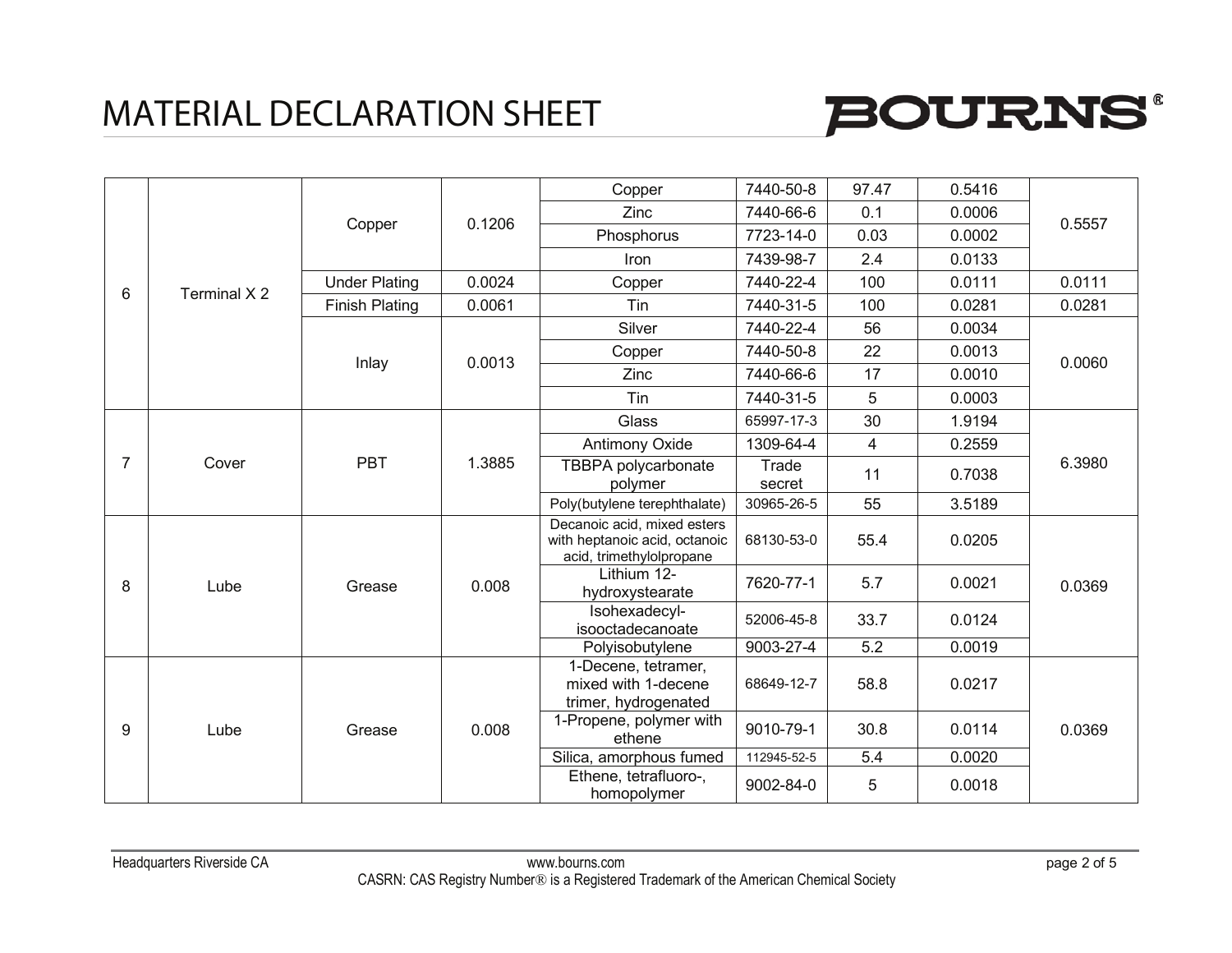

|                |              | Copper                | 0.1206 | Copper                                                                                   | 7440-50-8       | 97.47                   | 0.5416 |        |
|----------------|--------------|-----------------------|--------|------------------------------------------------------------------------------------------|-----------------|-------------------------|--------|--------|
|                |              |                       |        | <b>Zinc</b>                                                                              | 7440-66-6       | 0.1                     | 0.0006 |        |
|                |              |                       |        | Phosphorus                                                                               | 7723-14-0       | 0.03                    | 0.0002 | 0.5557 |
|                |              |                       |        | <b>Iron</b>                                                                              | 7439-98-7       | 2.4                     | 0.0133 |        |
| 6              | Terminal X 2 | <b>Under Plating</b>  | 0.0024 | Copper                                                                                   | 7440-22-4       | 100                     | 0.0111 | 0.0111 |
|                |              | <b>Finish Plating</b> | 0.0061 | Tin                                                                                      | 7440-31-5       | 100                     | 0.0281 | 0.0281 |
|                |              |                       |        | Silver                                                                                   | 7440-22-4       | 56                      | 0.0034 |        |
|                |              |                       |        | Copper                                                                                   | 7440-50-8       | 22                      | 0.0013 | 0.0060 |
|                |              | Inlay                 | 0.0013 | Zinc                                                                                     | 7440-66-6       | 17                      | 0.0010 |        |
|                |              |                       |        | Tin                                                                                      | 7440-31-5       | 5                       | 0.0003 |        |
|                |              | <b>PBT</b><br>Cover   |        | Glass                                                                                    | 65997-17-3      | 30                      | 1.9194 |        |
|                |              |                       |        | <b>Antimony Oxide</b>                                                                    | 1309-64-4       | $\overline{\mathbf{4}}$ | 0.2559 | 6.3980 |
| $\overline{7}$ |              |                       | 1.3885 | TBBPA polycarbonate<br>polymer                                                           | Trade<br>secret | 11                      | 0.7038 |        |
|                |              |                       |        | Poly(butylene terephthalate)                                                             | 30965-26-5      | 55                      | 3.5189 |        |
|                | Lube         | Grease                | 0.008  | Decanoic acid, mixed esters<br>with heptanoic acid, octanoic<br>acid, trimethylolpropane | 68130-53-0      | 55.4                    | 0.0205 |        |
| 8              |              |                       |        | Lithium 12-<br>hydroxystearate                                                           | 7620-77-1       | 5.7                     | 0.0021 | 0.0369 |
|                |              |                       |        | Isohexadecyl-<br>isooctadecanoate                                                        | 52006-45-8      | 33.7                    | 0.0124 |        |
|                |              |                       |        | Polyisobutylene                                                                          | 9003-27-4       | 5.2                     | 0.0019 |        |
| 9              | Lube         | 0.008<br>Grease       |        | 1-Decene, tetramer,<br>mixed with 1-decene<br>trimer, hydrogenated                       | 68649-12-7      | 58.8                    | 0.0217 |        |
|                |              |                       |        | 1-Propene, polymer with<br>ethene                                                        | 9010-79-1       | 30.8                    | 0.0114 | 0.0369 |
|                |              |                       |        | Silica, amorphous fumed                                                                  | 112945-52-5     | 5.4                     | 0.0020 |        |
|                |              |                       |        | Ethene, tetrafluoro-,<br>homopolymer                                                     | 9002-84-0       | 5                       | 0.0018 |        |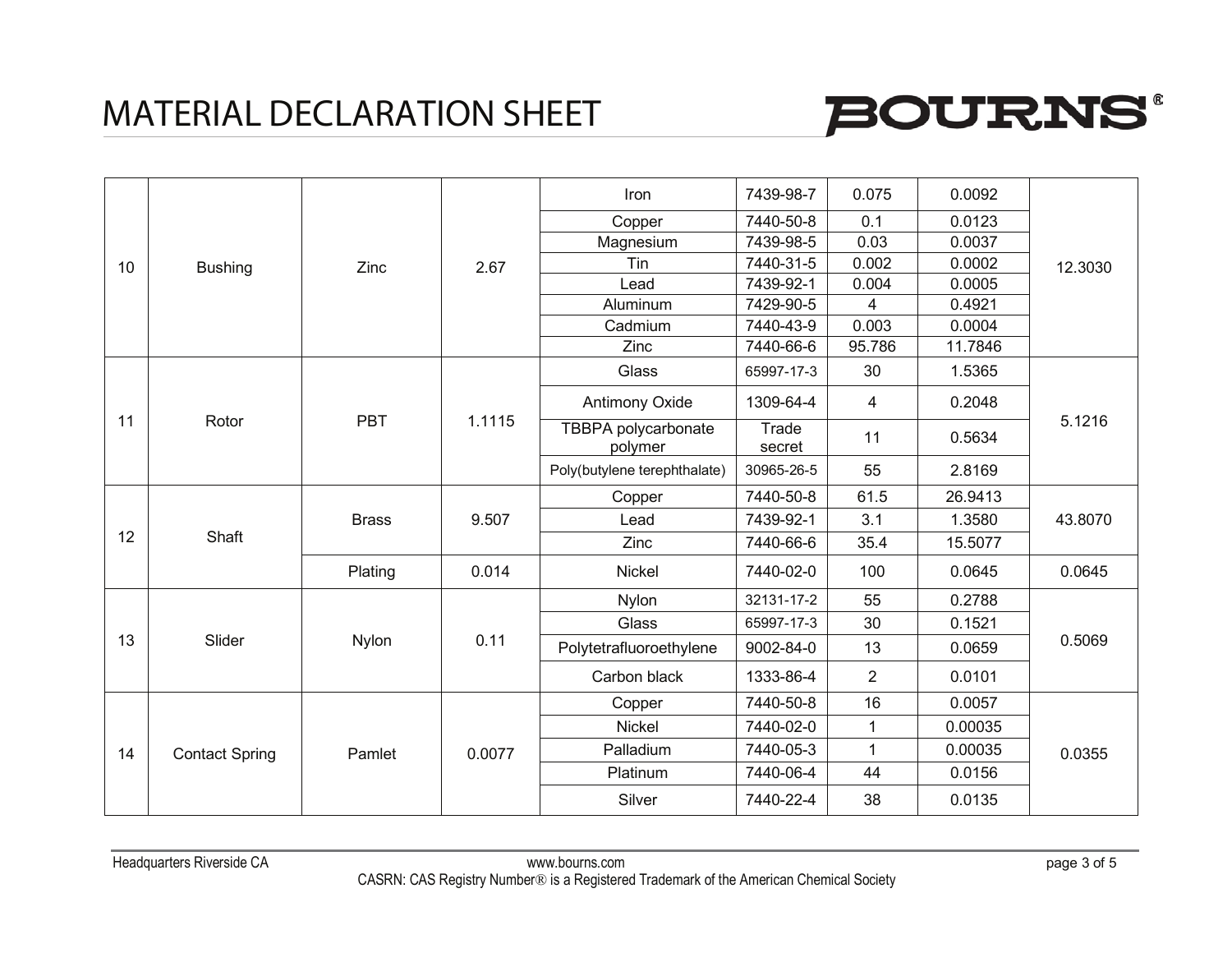

|    |                |                                           |        | Iron                           | 7439-98-7       | 0.075          | 0.0092  |         |
|----|----------------|-------------------------------------------|--------|--------------------------------|-----------------|----------------|---------|---------|
|    |                |                                           |        | Copper                         | 7440-50-8       | 0.1            | 0.0123  |         |
|    |                |                                           |        | Magnesium                      | 7439-98-5       | 0.03           | 0.0037  |         |
| 10 | <b>Bushing</b> | Zinc                                      | 2.67   | Tin                            | 7440-31-5       | 0.002          | 0.0002  | 12.3030 |
|    |                |                                           |        | Lead                           | 7439-92-1       | 0.004          | 0.0005  |         |
|    |                |                                           |        | Aluminum                       | 7429-90-5       | 4              | 0.4921  |         |
|    |                |                                           |        | Cadmium                        | 7440-43-9       | 0.003          | 0.0004  |         |
|    |                |                                           |        | Zinc                           | 7440-66-6       | 95.786         | 11.7846 |         |
|    |                |                                           |        | Glass                          | 65997-17-3      | 30             | 1.5365  |         |
|    |                |                                           |        | Antimony Oxide                 | 1309-64-4       | 4              | 0.2048  |         |
| 11 | Rotor          | <b>PBT</b>                                | 1.1115 | TBBPA polycarbonate<br>polymer | Trade<br>secret | 11             | 0.5634  | 5.1216  |
|    |                |                                           |        | Poly(butylene terephthalate)   | 30965-26-5      | 55             | 2.8169  |         |
|    | Shaft          | <b>Brass</b>                              |        | Copper                         | 7440-50-8       | 61.5           | 26.9413 | 43.8070 |
|    |                |                                           | 9.507  | Lead                           | 7439-92-1       | 3.1            | 1.3580  |         |
| 12 |                |                                           |        | Zinc                           | 7440-66-6       | 35.4           | 15.5077 |         |
|    |                | Plating                                   | 0.014  | Nickel                         | 7440-02-0       | 100            | 0.0645  | 0.0645  |
|    |                |                                           |        | Nylon                          | 32131-17-2      | 55             | 0.2788  |         |
|    |                |                                           |        | Glass                          | 65997-17-3      | 30             | 0.1521  |         |
| 13 |                | Slider<br>Nylon                           | 0.11   | Polytetrafluoroethylene        | 9002-84-0       | 13             | 0.0659  | 0.5069  |
|    |                |                                           |        | Carbon black                   | 1333-86-4       | $\overline{2}$ | 0.0101  |         |
|    |                | 0.0077<br><b>Contact Spring</b><br>Pamlet |        | Copper                         | 7440-50-8       | 16             | 0.0057  |         |
|    |                |                                           |        | Nickel                         | 7440-02-0       | 1              | 0.00035 | 0.0355  |
| 14 |                |                                           |        | Palladium                      | 7440-05-3       | $\mathbf{1}$   | 0.00035 |         |
|    |                |                                           |        | Platinum                       | 7440-06-4       | 44             | 0.0156  |         |
|    |                |                                           |        | Silver                         | 7440-22-4       | 38             | 0.0135  |         |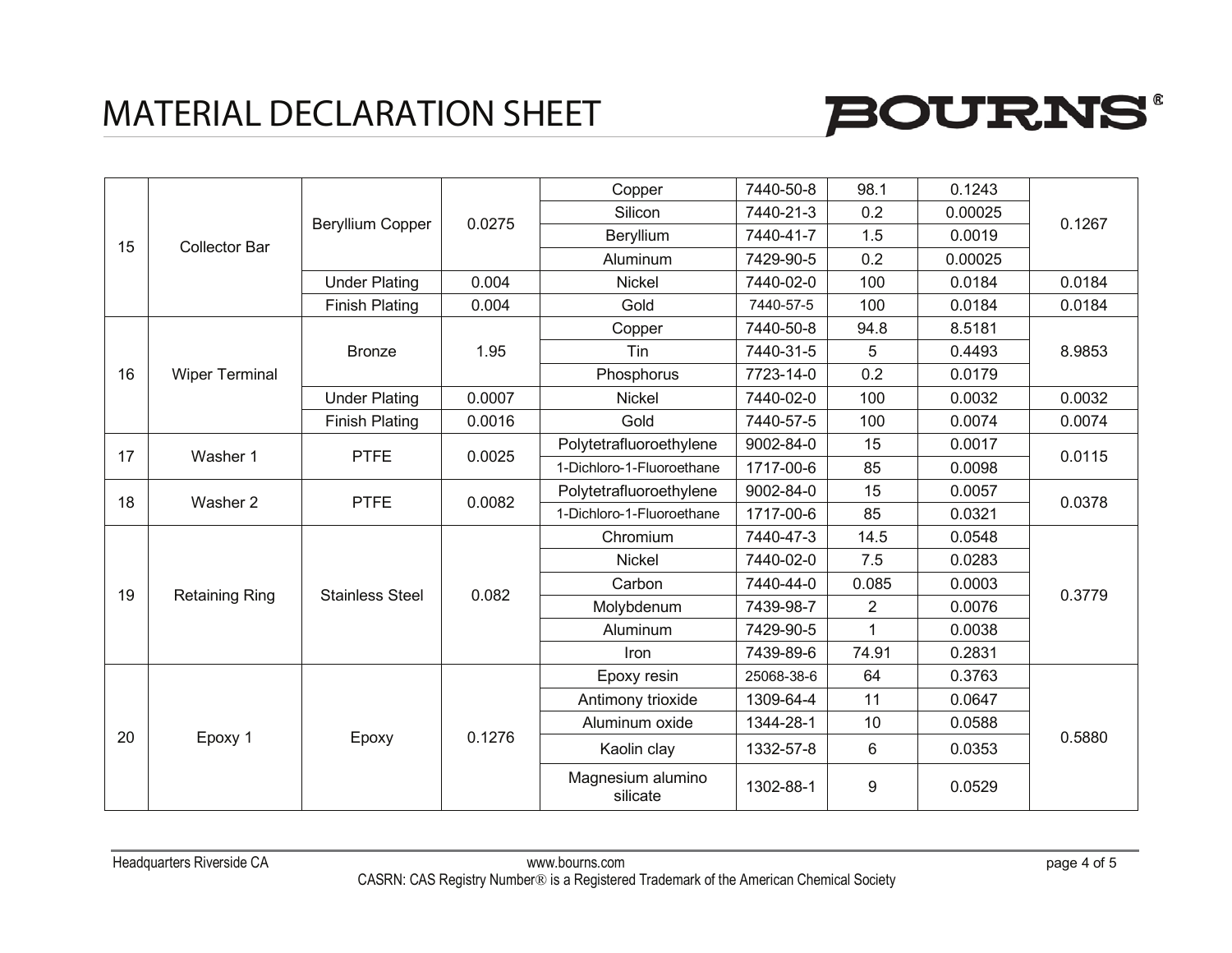

| 15 |                       | Beryllium Copper                                                                                                              |        | Copper                        | 7440-50-8                 | 98.1           | 0.1243  |        |        |
|----|-----------------------|-------------------------------------------------------------------------------------------------------------------------------|--------|-------------------------------|---------------------------|----------------|---------|--------|--------|
|    |                       |                                                                                                                               | 0.0275 | Silicon                       | 7440-21-3                 | 0.2            | 0.00025 | 0.1267 |        |
|    |                       |                                                                                                                               |        | Beryllium                     | 7440-41-7                 | 1.5            | 0.0019  |        |        |
|    | <b>Collector Bar</b>  |                                                                                                                               |        | Aluminum                      | 7429-90-5                 | 0.2            | 0.00025 |        |        |
|    |                       | <b>Under Plating</b>                                                                                                          | 0.004  | <b>Nickel</b>                 | 7440-02-0                 | 100            | 0.0184  | 0.0184 |        |
|    |                       | <b>Finish Plating</b>                                                                                                         | 0.004  | Gold                          | 7440-57-5                 | 100            | 0.0184  | 0.0184 |        |
|    |                       |                                                                                                                               |        | Copper                        | 7440-50-8                 | 94.8           | 8.5181  |        |        |
|    |                       | <b>Bronze</b>                                                                                                                 | 1.95   | Tin                           | 7440-31-5                 | 5              | 0.4493  | 8.9853 |        |
| 16 | <b>Wiper Terminal</b> |                                                                                                                               |        | Phosphorus                    | 7723-14-0                 | 0.2            | 0.0179  |        |        |
|    |                       | <b>Under Plating</b>                                                                                                          | 0.0007 | Nickel                        | 7440-02-0                 | 100            | 0.0032  | 0.0032 |        |
|    |                       | <b>Finish Plating</b>                                                                                                         | 0.0016 | Gold                          | 7440-57-5                 | 100            | 0.0074  | 0.0074 |        |
| 17 |                       | <b>PTFE</b><br>Washer 1                                                                                                       | 0.0025 | Polytetrafluoroethylene       | 9002-84-0                 | 15             | 0.0017  | 0.0115 |        |
|    |                       |                                                                                                                               |        | 1-Dichloro-1-Fluoroethane     | 1717-00-6                 | 85             | 0.0098  |        |        |
| 18 | Washer 2              | <b>PTFE</b>                                                                                                                   | 0.0082 | Polytetrafluoroethylene       | 9002-84-0                 | 15             | 0.0057  | 0.0378 |        |
|    |                       |                                                                                                                               |        |                               | 1-Dichloro-1-Fluoroethane | 1717-00-6      | 85      | 0.0321 |        |
|    |                       | 0.082<br><b>Retaining Ring</b><br><b>Stainless Steel</b>                                                                      |        | Chromium                      | 7440-47-3                 | 14.5           | 0.0548  |        |        |
|    |                       |                                                                                                                               |        | Nickel                        | 7440-02-0                 | 7.5            | 0.0283  |        |        |
| 19 |                       |                                                                                                                               |        |                               | Carbon                    | 7440-44-0      | 0.085   | 0.0003 | 0.3779 |
|    |                       |                                                                                                                               |        | Molybdenum                    | 7439-98-7                 | $\overline{2}$ | 0.0076  |        |        |
|    |                       |                                                                                                                               |        | Aluminum                      | 7429-90-5                 | 1              | 0.0038  |        |        |
|    |                       |                                                                                                                               |        |                               | Iron                      | 7439-89-6      | 74.91   | 0.2831 |        |
|    |                       |                                                                                                                               |        | Epoxy resin                   | 25068-38-6                | 64             | 0.3763  |        |        |
|    | Epoxy 1               | Antimony trioxide<br>1309-64-4<br>11<br>Aluminum oxide<br>1344-28-1<br>10<br>0.1276<br>Epoxy<br>1332-57-8<br>Kaolin clay<br>6 |        |                               |                           |                | 0.0647  |        |        |
|    |                       |                                                                                                                               |        |                               |                           |                | 0.0588  |        |        |
| 20 |                       |                                                                                                                               | 0.0353 | 0.5880                        |                           |                |         |        |        |
|    |                       |                                                                                                                               |        | Magnesium alumino<br>silicate | 1302-88-1                 | 9              | 0.0529  |        |        |